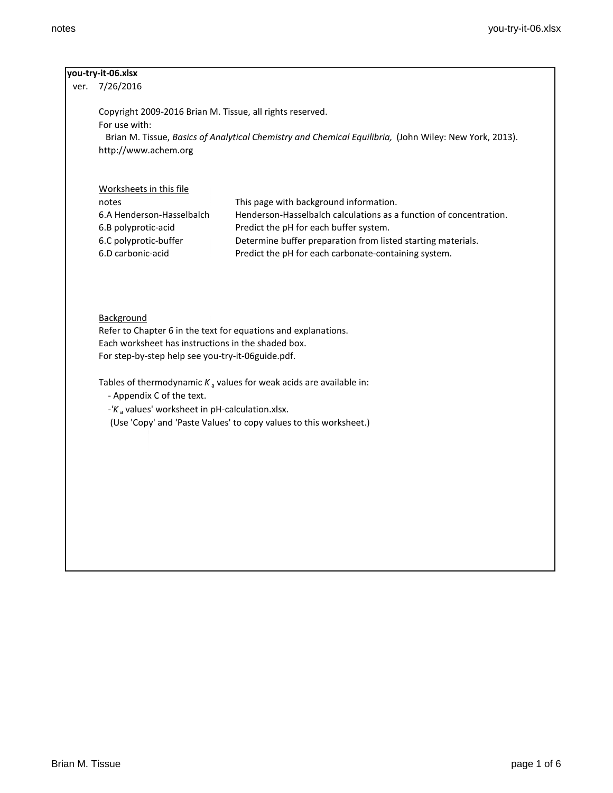| Copyright 2009-2016 Brian M. Tissue, all rights reserved.<br>For use with:<br>Brian M. Tissue, Basics of Analytical Chemistry and Chemical Equilibria, (John Wiley: New York, 2013).<br>http://www.achem.org<br>Worksheets in this file<br>notes<br>This page with background information.<br>6.A Henderson-Hasselbalch<br>Henderson-Hasselbalch calculations as a function of concentration.<br>6.B polyprotic-acid<br>Predict the pH for each buffer system.<br>6.C polyprotic-buffer<br>Determine buffer preparation from listed starting materials.<br>6.D carbonic-acid<br>Predict the pH for each carbonate-containing system.<br>Background<br>Refer to Chapter 6 in the text for equations and explanations.<br>Each worksheet has instructions in the shaded box.<br>For step-by-step help see you-try-it-06guide.pdf.<br>Tables of thermodynamic $K_a$ values for weak acids are available in:<br>- Appendix C of the text.<br>- $K_a$ values' worksheet in pH-calculation.xlsx.<br>(Use 'Copy' and 'Paste Values' to copy values to this worksheet.) | you-try-it-06.xlsx |  |
|-----------------------------------------------------------------------------------------------------------------------------------------------------------------------------------------------------------------------------------------------------------------------------------------------------------------------------------------------------------------------------------------------------------------------------------------------------------------------------------------------------------------------------------------------------------------------------------------------------------------------------------------------------------------------------------------------------------------------------------------------------------------------------------------------------------------------------------------------------------------------------------------------------------------------------------------------------------------------------------------------------------------------------------------------------------------|--------------------|--|
|                                                                                                                                                                                                                                                                                                                                                                                                                                                                                                                                                                                                                                                                                                                                                                                                                                                                                                                                                                                                                                                                 | 7/26/2016          |  |
|                                                                                                                                                                                                                                                                                                                                                                                                                                                                                                                                                                                                                                                                                                                                                                                                                                                                                                                                                                                                                                                                 |                    |  |
|                                                                                                                                                                                                                                                                                                                                                                                                                                                                                                                                                                                                                                                                                                                                                                                                                                                                                                                                                                                                                                                                 |                    |  |
|                                                                                                                                                                                                                                                                                                                                                                                                                                                                                                                                                                                                                                                                                                                                                                                                                                                                                                                                                                                                                                                                 |                    |  |
|                                                                                                                                                                                                                                                                                                                                                                                                                                                                                                                                                                                                                                                                                                                                                                                                                                                                                                                                                                                                                                                                 |                    |  |
|                                                                                                                                                                                                                                                                                                                                                                                                                                                                                                                                                                                                                                                                                                                                                                                                                                                                                                                                                                                                                                                                 |                    |  |
|                                                                                                                                                                                                                                                                                                                                                                                                                                                                                                                                                                                                                                                                                                                                                                                                                                                                                                                                                                                                                                                                 |                    |  |
|                                                                                                                                                                                                                                                                                                                                                                                                                                                                                                                                                                                                                                                                                                                                                                                                                                                                                                                                                                                                                                                                 |                    |  |
|                                                                                                                                                                                                                                                                                                                                                                                                                                                                                                                                                                                                                                                                                                                                                                                                                                                                                                                                                                                                                                                                 |                    |  |
|                                                                                                                                                                                                                                                                                                                                                                                                                                                                                                                                                                                                                                                                                                                                                                                                                                                                                                                                                                                                                                                                 |                    |  |
|                                                                                                                                                                                                                                                                                                                                                                                                                                                                                                                                                                                                                                                                                                                                                                                                                                                                                                                                                                                                                                                                 |                    |  |
|                                                                                                                                                                                                                                                                                                                                                                                                                                                                                                                                                                                                                                                                                                                                                                                                                                                                                                                                                                                                                                                                 |                    |  |
|                                                                                                                                                                                                                                                                                                                                                                                                                                                                                                                                                                                                                                                                                                                                                                                                                                                                                                                                                                                                                                                                 |                    |  |
|                                                                                                                                                                                                                                                                                                                                                                                                                                                                                                                                                                                                                                                                                                                                                                                                                                                                                                                                                                                                                                                                 |                    |  |
|                                                                                                                                                                                                                                                                                                                                                                                                                                                                                                                                                                                                                                                                                                                                                                                                                                                                                                                                                                                                                                                                 |                    |  |
|                                                                                                                                                                                                                                                                                                                                                                                                                                                                                                                                                                                                                                                                                                                                                                                                                                                                                                                                                                                                                                                                 |                    |  |
|                                                                                                                                                                                                                                                                                                                                                                                                                                                                                                                                                                                                                                                                                                                                                                                                                                                                                                                                                                                                                                                                 |                    |  |
|                                                                                                                                                                                                                                                                                                                                                                                                                                                                                                                                                                                                                                                                                                                                                                                                                                                                                                                                                                                                                                                                 |                    |  |
|                                                                                                                                                                                                                                                                                                                                                                                                                                                                                                                                                                                                                                                                                                                                                                                                                                                                                                                                                                                                                                                                 |                    |  |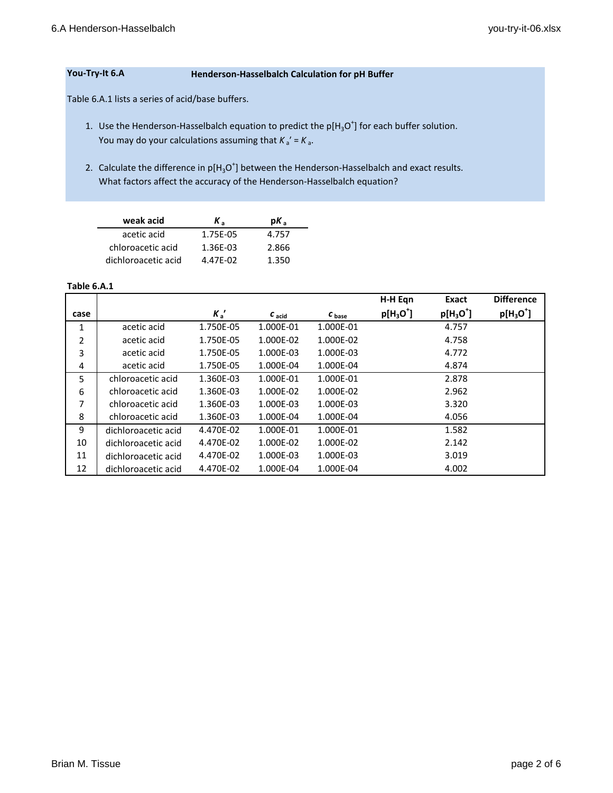# **You-Try-It 6.A Henderson-Hasselbalch Calculation for pH Buffer**

Table 6.A.1 lists a series of acid/base buffers.

- 1. Use the Henderson-Hasselbalch equation to predict the  $p[H_3O^+]$  for each buffer solution. You may do your calculations assuming that  $K_a' = K_a$ .
- 2. Calculate the difference in  $p[H_3O^+]$  between the Henderson-Hasselbalch and exact results. What factors affect the accuracy of the Henderson-Hasselbalch equation?

| weak acid           | Κ,       | $pK_{\circ}$ |
|---------------------|----------|--------------|
| acetic acid         | 1.75E-05 | 4.757        |
| chloroacetic acid   | 1.36E-03 | 2.866        |
| dichloroacetic acid | 4.47E-02 | 1.350        |

### **Table 6.A.1**

|      |                     |           |           |                   | H-H Egn     | Exact               | <b>Difference</b> |
|------|---------------------|-----------|-----------|-------------------|-------------|---------------------|-------------------|
| case |                     | $K_a'$    | $c$ acid  | $c_{\text{base}}$ | $p[H_3O^+]$ | $p[H_3O^{\dagger}]$ | $p[H_3O^+]$       |
| 1    | acetic acid         | 1.750E-05 | 1.000E-01 | 1.000E-01         |             | 4.757               |                   |
| 2    | acetic acid         | 1.750E-05 | 1.000E-02 | 1.000E-02         |             | 4.758               |                   |
| 3    | acetic acid         | 1.750E-05 | 1.000E-03 | 1.000E-03         |             | 4.772               |                   |
| 4    | acetic acid         | 1.750E-05 | 1.000E-04 | 1.000E-04         |             | 4.874               |                   |
| 5    | chloroacetic acid   | 1.360E-03 | 1.000E-01 | 1.000E-01         |             | 2.878               |                   |
| 6    | chloroacetic acid   | 1.360E-03 | 1.000E-02 | 1.000E-02         |             | 2.962               |                   |
| 7    | chloroacetic acid   | 1.360E-03 | 1.000E-03 | 1.000E-03         |             | 3.320               |                   |
| 8    | chloroacetic acid   | 1.360E-03 | 1.000E-04 | 1.000E-04         |             | 4.056               |                   |
| 9    | dichloroacetic acid | 4.470E-02 | 1.000E-01 | 1.000E-01         |             | 1.582               |                   |
| 10   | dichloroacetic acid | 4.470E-02 | 1.000E-02 | 1.000E-02         |             | 2.142               |                   |
| 11   | dichloroacetic acid | 4.470E-02 | 1.000E-03 | 1.000E-03         |             | 3.019               |                   |
| 12   | dichloroacetic acid | 4.470E-02 | 1.000E-04 | 1.000E-04         |             | 4.002               |                   |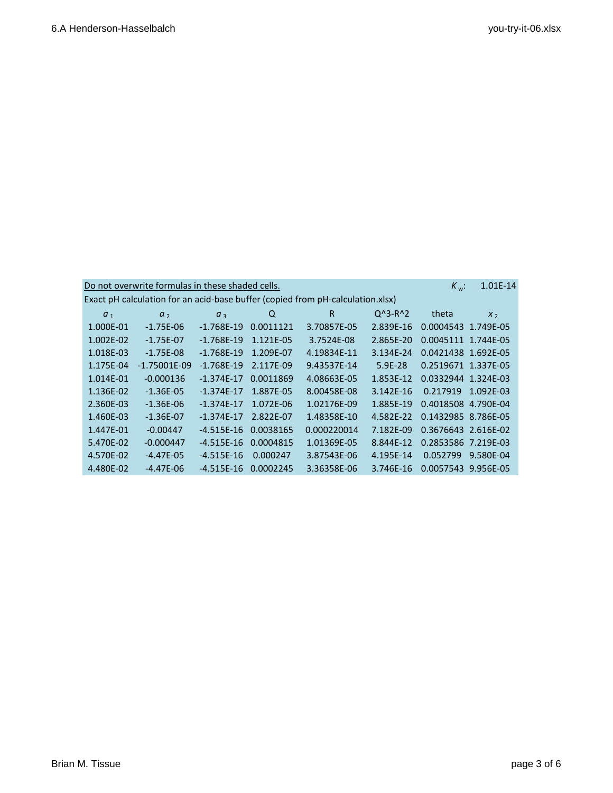|                | Do not overwrite formulas in these shaded cells. |                |           |                                                                                |             | $K_w$ :             | 1.01E-14       |
|----------------|--------------------------------------------------|----------------|-----------|--------------------------------------------------------------------------------|-------------|---------------------|----------------|
|                |                                                  |                |           | Exact pH calculation for an acid-base buffer (copied from pH-calculation.xlsx) |             |                     |                |
| a <sub>1</sub> | a <sub>2</sub>                                   | a <sub>3</sub> | Q         | R                                                                              | $Q^3 - R^2$ | theta               | X <sub>2</sub> |
| 1.000E-01      | $-1.75E-06$                                      | $-1.768E-19$   | 0.0011121 | 3.70857E-05                                                                    | 2.839E-16   | 0.0004543 1.749E-05 |                |
| 1.002E-02      | $-1.75E-07$                                      | $-1.768E-19$   | 1.121E-05 | 3.7524E-08                                                                     | 2.865E-20   | 0.0045111 1.744E-05 |                |
| 1.018E-03      | $-1.75E-08$                                      | $-1.768E-19$   | 1.209E-07 | 4.19834E-11                                                                    | 3.134E-24   | 0.0421438 1.692E-05 |                |
| 1.175E-04      | $-1.75001E-09$                                   | $-1.768E-19$   | 2.117E-09 | 9.43537E-14                                                                    | $5.9E - 28$ | 0.2519671 1.337E-05 |                |
| 1.014E-01      | $-0.000136$                                      | $-1.374E-17$   | 0.0011869 | 4.08663E-05                                                                    | 1.853E-12   | 0.0332944 1.324E-03 |                |
| 1.136E-02      | $-1.36E-05$                                      | $-1.374E-17$   | 1.887E-05 | 8.00458E-08                                                                    | 3.142E-16   | 0.217919            | 1.092E-03      |
| 2.360E-03      | $-1.36E-06$                                      | $-1.374E-17$   | 1.072E-06 | 1.02176E-09                                                                    | 1.885E-19   | 0.4018508 4.790E-04 |                |
| 1.460E-03      | $-1.36E - 07$                                    | $-1.374E-17$   | 2.822E-07 | 1.48358E-10                                                                    | 4.582E-22   | 0.1432985 8.786E-05 |                |
| 1.447E-01      | $-0.00447$                                       | $-4.515E-16$   | 0.0038165 | 0.000220014                                                                    | 7.182E-09   | 0.3676643 2.616E-02 |                |
| 5.470E-02      | $-0.000447$                                      | $-4.515E-16$   | 0.0004815 | 1.01369E-05                                                                    | 8.844E-12   | 0.2853586 7.219E-03 |                |
| 4.570E-02      | $-4.47E-05$                                      | $-4.515E-16$   | 0.000247  | 3.87543E-06                                                                    | 4.195E-14   | 0.052799            | 9.580E-04      |
| 4.480E-02      | $-4.47E-06$                                      | $-4.515E-16$   | 0.0002245 | 3.36358E-06                                                                    | 3.746E-16   | 0.0057543 9.956E-05 |                |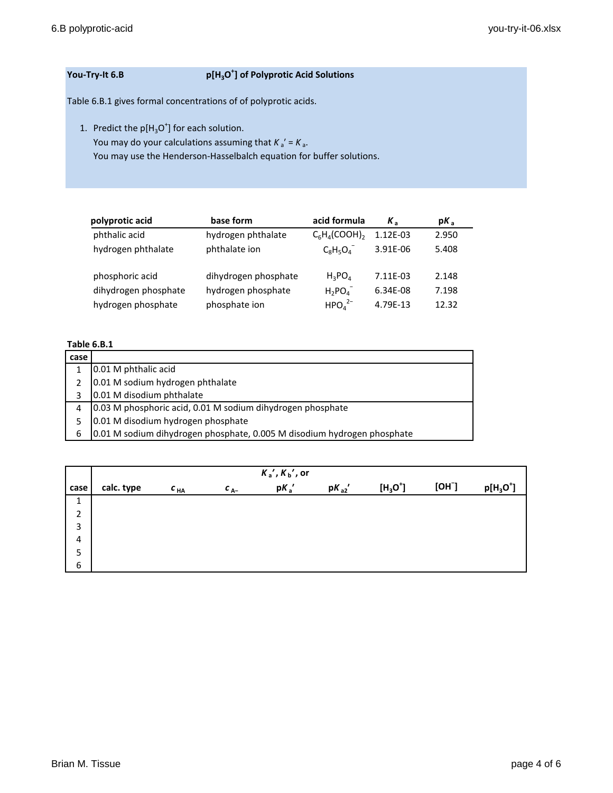# **You-Try-It 6.B**

## **] of Polyprotic Acid Solutions**

Table 6.B.1 gives formal concentrations of of polyprotic acids.

1. Predict the  $p[H_3O^+]$  for each solution.

You may do your calculations assuming that  $K_a' = K_a$ .

You may use the Henderson-Hasselbalch equation for buffer solutions.

| polyprotic acid      | base form            | acid formula                   | $K_{\rm a}$ | $pK_{a}$ |
|----------------------|----------------------|--------------------------------|-------------|----------|
| phthalic acid        | hydrogen phthalate   | $C_6H_4(COOH)_2$               | 1.12E-03    | 2.950    |
| hydrogen phthalate   | phthalate ion        | $C_8H_5O_4$                    | 3.91E-06    | 5.408    |
| phosphoric acid      | dihydrogen phosphate | $H_3PO_4$                      | 7.11E-03    | 2.148    |
| dihydrogen phosphate | hydrogen phosphate   | $H_2PO4$                       | 6.34E-08    | 7.198    |
| hydrogen phosphate   | phosphate ion        | HPO <sub>4</sub> <sup>2–</sup> | 4.79E-13    | 12.32    |

# **Table 6.B.1**

| case |                                                                         |
|------|-------------------------------------------------------------------------|
|      | 0.01 M phthalic acid                                                    |
| 2    | 0.01 M sodium hydrogen phthalate                                        |
| 3    | 0.01 M disodium phthalate                                               |
| 4    | 0.03 M phosphoric acid, 0.01 M sodium dihydrogen phosphate              |
| 5    | 0.01 M disodium hydrogen phosphate                                      |
| 6    | 0.01 M sodium dihydrogen phosphate, 0.005 M disodium hydrogen phosphate |

|                |            |          |          | $K_a$ ', $K_b$ ', or |           |            |      |             |
|----------------|------------|----------|----------|----------------------|-----------|------------|------|-------------|
| case           | calc. type | $c_{HA}$ | $c_{A-}$ | $pK_a'$              | $pK_{a2}$ | $[H_3O^+]$ | [OH] | $p[H_3O^+]$ |
| 1              |            |          |          |                      |           |            |      |             |
| $\overline{2}$ |            |          |          |                      |           |            |      |             |
| 3              |            |          |          |                      |           |            |      |             |
| $\overline{4}$ |            |          |          |                      |           |            |      |             |
| 5              |            |          |          |                      |           |            |      |             |
| 6              |            |          |          |                      |           |            |      |             |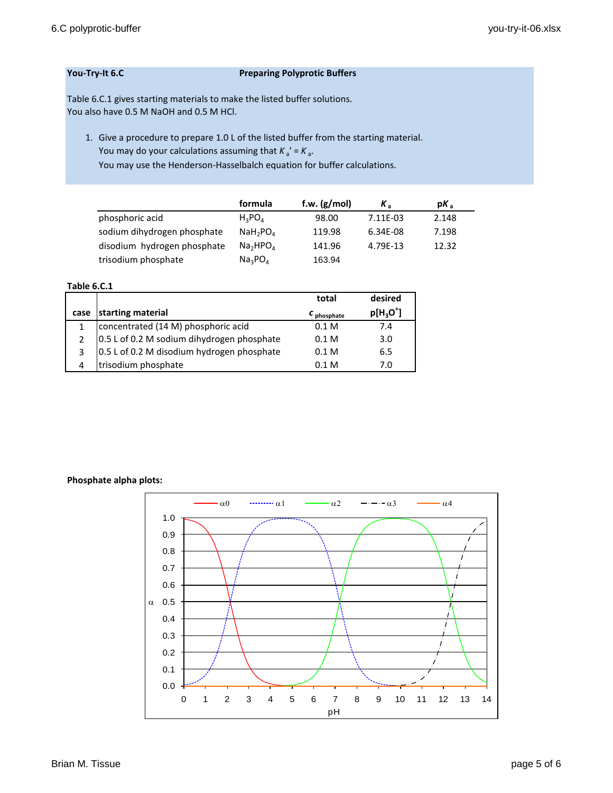## **You-Try-It 6.C Preparing Polyprotic Buffers**

Table 6.C.1 gives starting materials to make the listed buffer solutions. You also have 0.5 M NaOH and 0.5 M HCl.

1. Give a procedure to prepare 1.0 L of the listed buffer from the starting material. You may do your calculations assuming that  $K_a' = K_a$ . You may use the Henderson-Hasselbalch equation for buffer calculations.

|                             | formula                          | f.w. $(g/mol)$ | $K_{\circ}$ | $pK_a$ |
|-----------------------------|----------------------------------|----------------|-------------|--------|
| phosphoric acid             | $H_2PO_A$                        | 98.00          | 7.11E-03    | 2.148  |
| sodium dihydrogen phosphate | NaH <sub>2</sub> PO <sub>4</sub> | 119.98         | 6.34E-08    | 7.198  |
| disodium hydrogen phosphate | Na <sub>2</sub> HPO <sub>A</sub> | 141.96         | 4.79F-13    | 12.32  |
| trisodium phosphate         | Na <sub>3</sub> PO <sub>4</sub>  | 163.94         |             |        |

### **Table 6.C.1**

|               |                                            | total                  | desired     |
|---------------|--------------------------------------------|------------------------|-------------|
| case          | starting material                          | c <sub>phosphate</sub> | $p[H_3O^+]$ |
| 1             | concentrated (14 M) phosphoric acid        | 0.1 <sub>M</sub>       | 7.4         |
| $\mathcal{P}$ | 0.5 L of 0.2 M sodium dihydrogen phosphate | 0.1 <sub>M</sub>       | 3.0         |
| 3             | 0.5 L of 0.2 M disodium hydrogen phosphate | 0.1 <sub>M</sub>       | 6.5         |
| 4             | trisodium phosphate                        | 0.1 M                  | 7.0         |

## **Phosphate alpha plots:**